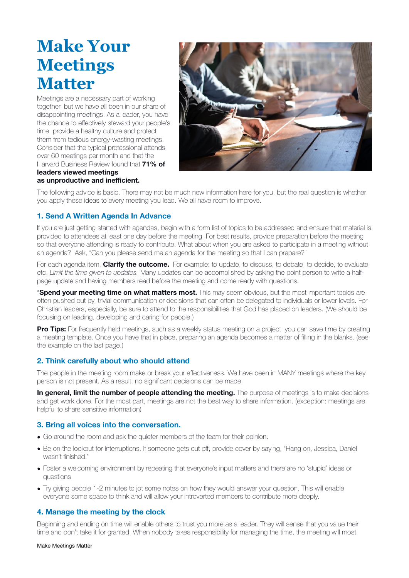# **Make Your Meetings Matter**

Meetings are a necessary part of working together, but we have all been in our share of disappointing meetings. As a leader, you have the chance to effectively steward your people's time, provide a healthy culture and protect them from tedious energy-wasting meetings. Consider that the typical professional attends over 60 meetings per month and that the Harvard Business Review found that **71% of leaders viewed meetings** 



The following advice is basic. There may not be much new information here for you, but the real question is whether you apply these ideas to every meeting you lead. We all have room to improve.

# **1. Send A Written Agenda In Advance**

**as unproductive and inefficient.**

If you are just getting started with agendas, begin with a form list of topics to be addressed and ensure that material is provided to attendees at least one day before the meeting. For best results, provide preparation before the meeting so that everyone attending is ready to contribute. What about when you are asked to participate in a meeting without an agenda? Ask, "Can you please send me an agenda for the meeting so that I can prepare?"

For each agenda item, **Clarify the outcome.** For example: to update, to discuss, to debate, to decide, to evaluate, etc. *Limit the time given to updates.* Many updates can be accomplished by asking the point person to write a halfpage update and having members read before the meeting and come ready with questions.

\***Spend your meeting time on what matters most.** This may seem obvious, but the most important topics are often pushed out by, trivial communication or decisions that can often be delegated to individuals or lower levels. For Christian leaders, especially, be sure to attend to the responsibilities that God has placed on leaders. (We should be focusing on leading, developing and caring for people.)

**Pro Tips:** For frequently held meetings, such as a weekly status meeting on a project, you can save time by creating a meeting template. Once you have that in place, preparing an agenda becomes a matter of filling in the blanks. (see the example on the last page.)

# **2. Think carefully about who should attend**

The people in the meeting room make or break your effectiveness. We have been in MANY meetings where the key person is not present. As a result, no significant decisions can be made.

**In general, limit the number of people attending the meeting.** The purpose of meetings is to make decisions and get work done. For the most part, meetings are not the best way to share information. (exception: meetings are helpful to share sensitive information)

## **3. Bring all voices into the conversation.**

- Go around the room and ask the quieter members of the team for their opinion.
- Be on the lookout for interruptions. If someone gets cut off, provide cover by saying, "Hang on, Jessica, Daniel wasn't finished."
- Foster a welcoming environment by repeating that everyone's input matters and there are no 'stupid' ideas or questions.
- Try giving people 1-2 minutes to jot some notes on how they would answer your question. This will enable everyone some space to think and will allow your introverted members to contribute more deeply.

# **4. Manage the meeting by the clock**

Beginning and ending on time will enable others to trust you more as a leader. They will sense that you value their time and don't take it for granted. When nobody takes responsibility for managing the time, the meeting will most

Make Meetings Matter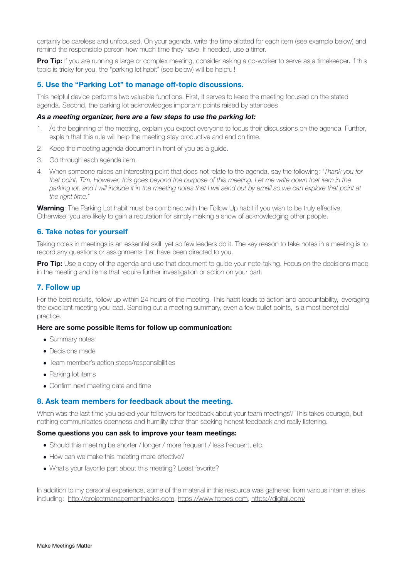certainly be careless and unfocused. On your agenda, write the time allotted for each item (see example below) and remind the responsible person how much time they have. If needed, use a timer.

**Pro Tip:** If you are running a large or complex meeting, consider asking a co-worker to serve as a timekeeper. If this topic is tricky for you, the "parking lot habit" (see below) will be helpful!

#### **5. Use the "Parking Lot" to manage off-topic discussions.**

This helpful device performs two valuable functions. First, it serves to keep the meeting focused on the stated agenda. Second, the parking lot acknowledges important points raised by attendees.

#### *As a meeting organizer, here are a few steps to use the parking lot:*

- 1. At the beginning of the meeting, explain you expect everyone to focus their discussions on the agenda. Further, explain that this rule will help the meeting stay productive and end on time.
- 2. Keep the meeting agenda document in front of you as a guide.
- 3. Go through each agenda item.
- 4. When someone raises an interesting point that does not relate to the agenda, say the following: *"Thank you for that point, Tim. However, this goes beyond the purpose of this meeting. Let me write down that item in the*  parking lot, and I will include it in the meeting notes that I will send out by email so we can explore that point at *the right time."*

**Warning**: The Parking Lot habit must be combined with the Follow Up habit if you wish to be truly effective. Otherwise, you are likely to gain a reputation for simply making a show of acknowledging other people.

#### **6. Take notes for yourself**

Taking notes in meetings is an essential skill, yet so few leaders do it. The key reason to take notes in a meeting is to record any questions or assignments that have been directed to you.

**Pro Tip:** Use a copy of the agenda and use that document to guide your note-taking. Focus on the decisions made in the meeting and items that require further investigation or action on your part.

# **7. Follow up**

For the best results, follow up within 24 hours of the meeting. This habit leads to action and accountability, leveraging the excellent meeting you lead. Sending out a meeting summary, even a few bullet points, is a most beneficial practice.

#### **Here are some possible items for follow up communication:**

- Summary notes
- Decisions made
- Team member's action steps/responsibilities
- Parking lot items
- Confirm next meeting date and time

## **8. Ask team members for feedback about the meeting.**

When was the last time you asked your followers for feedback about your team meetings? This takes courage, but nothing communicates openness and humility other than seeking honest feedback and really listening.

#### **Some questions you can ask to improve your team meetings:**

- Should this meeting be shorter / longer / more frequent / less frequent, etc.
- How can we make this meeting more effective?
- What's your favorite part about this meeting? Least favorite?

In addition to my personal experience, some of the material in this resource was gathered from various internet sites including: <http://projectmanagementhacks.com>, [https://www.forbes.com,](https://www.forbes.com)<https://digital.com/>